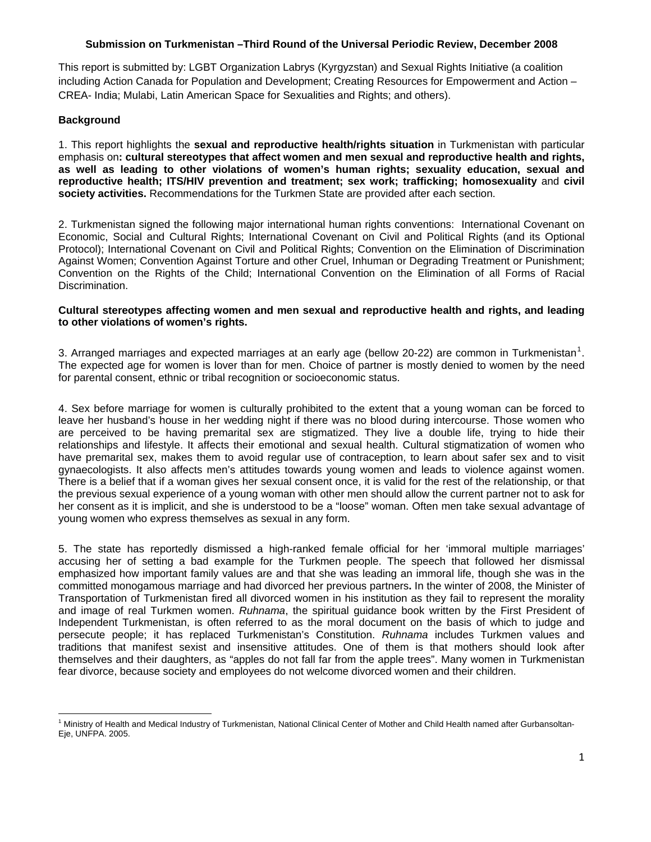## **Submission on Turkmenistan –Third Round of the Universal Periodic Review, December 2008**

This report is submitted by: LGBT Organization Labrys (Kyrgyzstan) and Sexual Rights Initiative (a coalition including Action Canada for Population and Development; Creating Resources for Empowerment and Action – CREA- India; Mulabi, Latin American Space for Sexualities and Rights; and others).

## **Background**

1. This report highlights the **sexual and reproductive health/rights situation** in Turkmenistan with particular emphasis on**: cultural stereotypes that affect women and men sexual and reproductive health and rights, as well as leading to other violations of women's human rights; sexuality education, sexual and reproductive health; ITS/HIV prevention and treatment; sex work; trafficking; homosexuality** and **civil society activities.** Recommendations for the Turkmen State are provided after each section.

2. Turkmenistan signed the following major international human rights conventions: International Covenant on Economic, Social and Cultural Rights; International Covenant on Civil and Political Rights (and its Optional Protocol); International Covenant on Civil and Political Rights; Convention on the Elimination of Discrimination Against Women; Convention Against Torture and other Cruel, Inhuman or Degrading Treatment or Punishment; Convention on the Rights of the Child; International Convention on the Elimination of all Forms of Racial Discrimination.

#### **Cultural stereotypes affecting women and men sexual and reproductive health and rights, and leading to other violations of women's rights.**

3. Arranged marriages and expected marriages at an early age (bellow 20-22) are common in Turkmenistan<sup>[1](#page-0-0)</sup>. The expected age for women is lover than for men. Choice of partner is mostly denied to women by the need for parental consent, ethnic or tribal recognition or socioeconomic status.

4. Sex before marriage for women is culturally prohibited to the extent that a young woman can be forced to leave her husband's house in her wedding night if there was no blood during intercourse. Those women who are perceived to be having premarital sex are stigmatized. They live a double life, trying to hide their relationships and lifestyle. It affects their emotional and sexual health. Cultural stigmatization of women who have premarital sex, makes them to avoid regular use of contraception, to learn about safer sex and to visit gynaecologists. It also affects men's attitudes towards young women and leads to violence against women. There is a belief that if a woman gives her sexual consent once, it is valid for the rest of the relationship, or that the previous sexual experience of a young woman with other men should allow the current partner not to ask for her consent as it is implicit, and she is understood to be a "loose" woman. Often men take sexual advantage of young women who express themselves as sexual in any form.

5. The state has reportedly dismissed a high-ranked female official for her 'immoral multiple marriages' accusing her of setting a bad example for the Turkmen people. The speech that followed her dismissal emphasized how important family values are and that she was leading an immoral life, though she was in the committed monogamous marriage and had divorced her previous partners**.** In the winter of 2008, the Minister of Transportation of Turkmenistan fired all divorced women in his institution as they fail to represent the morality and image of real Turkmen women. *Ruhnama*, the spiritual guidance book written by the First President of Independent Turkmenistan, is often referred to as the moral document on the basis of which to judge and persecute people; it has replaced Turkmenistan's Constitution. *Ruhnama* includes Turkmen values and traditions that manifest sexist and insensitive attitudes. One of them is that mothers should look after themselves and their daughters, as "apples do not fall far from the apple trees". Many women in Turkmenistan fear divorce, because society and employees do not welcome divorced women and their children.

<span id="page-0-0"></span> <sup>1</sup> Ministry of Health and Medical Industry of Turkmenistan, National Clinical Center of Mother and Child Health named after Gurbansoltan-Eje, UNFPA. 2005.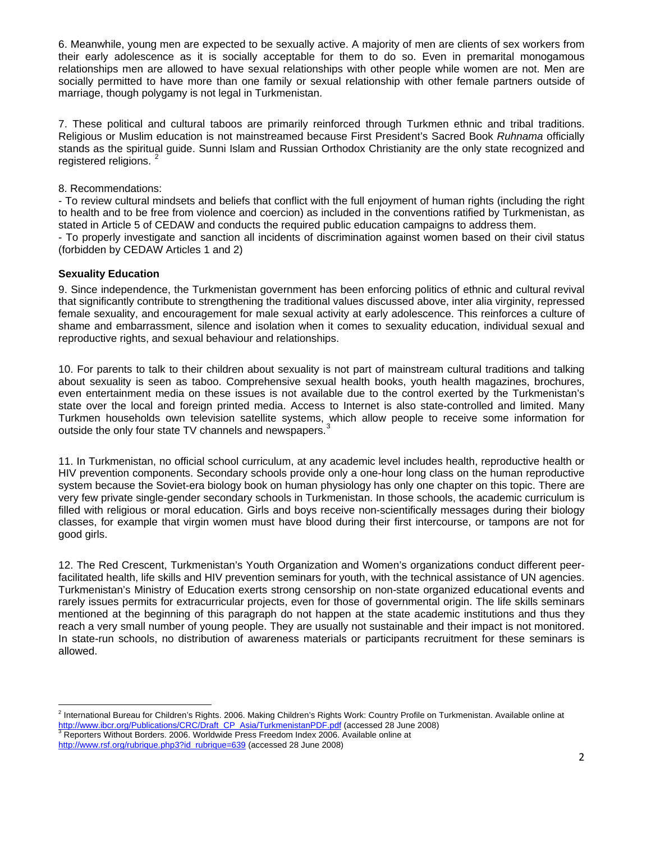6. Meanwhile, young men are expected to be sexually active. A majority of men are clients of sex workers from their early adolescence as it is socially acceptable for them to do so. Even in premarital monogamous relationships men are allowed to have sexual relationships with other people while women are not. Men are socially permitted to have more than one family or sexual relationship with other female partners outside of marriage, though polygamy is not legal in Turkmenistan.

7. These political and cultural taboos are primarily reinforced through Turkmen ethnic and tribal traditions. Religious or Muslim education is not mainstreamed because First President's Sacred Book *Ruhnama* officially stands as the spiritual guide. Sunni Islam and Russian Orthodox Christianity are the only state recognized and registered religions.<sup>[2](#page-1-0)</sup>

#### 8. Recommendations:

- To review cultural mindsets and beliefs that conflict with the full enjoyment of human rights (including the right to health and to be free from violence and coercion) as included in the conventions ratified by Turkmenistan, as stated in Article 5 of CEDAW and conducts the required public education campaigns to address them.

- To properly investigate and sanction all incidents of discrimination against women based on their civil status (forbidden by CEDAW Articles 1 and 2)

## **Sexuality Education**

9. Since independence, the Turkmenistan government has been enforcing politics of ethnic and cultural revival that significantly contribute to strengthening the traditional values discussed above, inter alia virginity, repressed female sexuality, and encouragement for male sexual activity at early adolescence. This reinforces a culture of shame and embarrassment, silence and isolation when it comes to sexuality education, individual sexual and reproductive rights, and sexual behaviour and relationships.

10. For parents to talk to their children about sexuality is not part of mainstream cultural traditions and talking about sexuality is seen as taboo. Comprehensive sexual health books, youth health magazines, brochures, even entertainment media on these issues is not available due to the control exerted by the Turkmenistan's state over the local and foreign printed media. Access to Internet is also state-controlled and limited. Many Turkmen households own television satellite systems, which allow people to receive some information for outside the only four state TV channels and newspapers. $3$ 

11. In Turkmenistan, no official school curriculum, at any academic level includes health, reproductive health or HIV prevention components. Secondary schools provide only a one-hour long class on the human reproductive system because the Soviet-era biology book on human physiology has only one chapter on this topic. There are very few private single-gender secondary schools in Turkmenistan. In those schools, the academic curriculum is filled with religious or moral education. Girls and boys receive non-scientifically messages during their biology classes, for example that virgin women must have blood during their first intercourse, or tampons are not for good girls.

12. The Red Crescent, Turkmenistan's Youth Organization and Women's organizations conduct different peerfacilitated health, life skills and HIV prevention seminars for youth, with the technical assistance of UN agencies. Turkmenistan's Ministry of Education exerts strong censorship on non-state organized educational events and rarely issues permits for extracurricular projects, even for those of governmental origin. The life skills seminars mentioned at the beginning of this paragraph do not happen at the state academic institutions and thus they reach a very small number of young people. They are usually not sustainable and their impact is not monitored. In state-run schools, no distribution of awareness materials or participants recruitment for these seminars is allowed.

<span id="page-1-0"></span> <sup>2</sup> International Bureau for Children's Rights. 2006. Making Children's Rights Work: Country Profile on Turkmenistan. Available online at [http://www.ibcr.org/Publications/CRC/Draft\\_CP\\_Asia/TurkmenistanPDF.pdf](http://www.ibcr.org/Publications/CRC/Draft_CP_Asia/TurkmenistanPDF.pdf) (accessed 28 June 2008)

<span id="page-1-1"></span>Reporters Without Borders. 2006. Worldwide Press Freedom Index 2006. Available online at [http://www.rsf.org/rubrique.php3?id\\_rubrique=639](http://www.rsf.org/rubrique.php3?id_rubrique=639) (accessed 28 June 2008)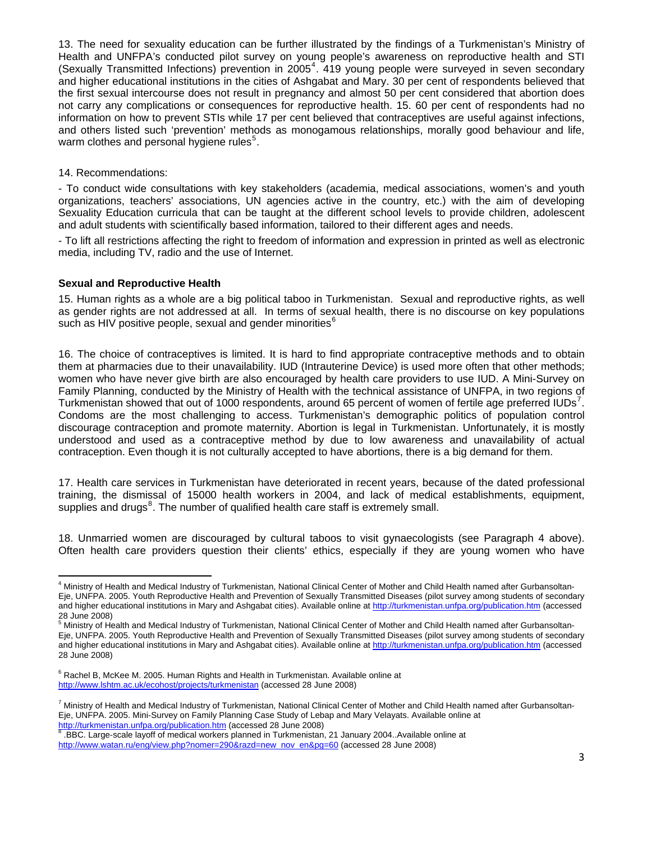13. The need for sexuality education can be further illustrated by the findings of a Turkmenistan's Ministry of Health and UNFPA's conducted pilot survey on young people's awareness on reproductive health and STI (Sexually Transmitted Infections) prevention in 2005<sup>[4](#page-2-0)</sup>. 419 young people were surveyed in seven secondary and higher educational institutions in the cities of Ashgabat and Mary. 30 per cent of respondents believed that the first sexual intercourse does not result in pregnancy and almost 50 per cent considered that abortion does not carry any complications or consequences for reproductive health. 15. 60 per cent of respondents had no information on how to prevent STIs while 17 per cent believed that contraceptives are useful against infections, and others listed such 'prevention' methods as monogamous relationships, morally good behaviour and life, warm clothes and personal hygiene rules<sup>[5](#page-2-1)</sup>.

## 14. Recommendations:

- To conduct wide consultations with key stakeholders (academia, medical associations, women's and youth organizations, teachers' associations, UN agencies active in the country, etc.) with the aim of developing Sexuality Education curricula that can be taught at the different school levels to provide children, adolescent and adult students with scientifically based information, tailored to their different ages and needs.

- To lift all restrictions affecting the right to freedom of information and expression in printed as well as electronic media, including TV, radio and the use of Internet.

## **Sexual and Reproductive Health**

15. Human rights as a whole are a big political taboo in Turkmenistan. Sexual and reproductive rights, as well as gender rights are not addressed at all. In terms of sexual health, there is no discourse on key populations such as HIV positive people, sexual and gender minorities $^6$  $^6$ 

16. The choice of contraceptives is limited. It is hard to find appropriate contraceptive methods and to obtain them at pharmacies due to their unavailability. IUD (Intrauterine Device) is used more often that other methods; women who have never give birth are also encouraged by health care providers to use IUD. A Mini-Survey on Family Planning, conducted by the Ministry of Health with the technical assistance of UNFPA, in two regions of Turkmenistan showed that out of 1000 respondents, around 65 percent of women of fertile age preferred IUDs<sup>[7](#page-2-3)</sup>. Condoms are the most challenging to access. Turkmenistan's demographic politics of population control discourage contraception and promote maternity. Abortion is legal in Turkmenistan. Unfortunately, it is mostly understood and used as a contraceptive method by due to low awareness and unavailability of actual contraception. Even though it is not culturally accepted to have abortions, there is a big demand for them.

17. Health care services in Turkmenistan have deteriorated in recent years, because of the dated professional training, the dismissal of 15000 health workers in 2004, and lack of medical establishments, equipment, supplies and drugs $8$ . The number of qualified health care staff is extremely small.

18. Unmarried women are discouraged by cultural taboos to visit gynaecologists (see Paragraph 4 above). Often health care providers question their clients' ethics, especially if they are young women who have

<span id="page-2-0"></span> 4 Ministry of Health and Medical Industry of Turkmenistan, National Clinical Center of Mother and Child Health named after Gurbansoltan-Eje, UNFPA. 2005. Youth Reproductive Health and Prevention of Sexually Transmitted Diseases (pilot survey among students of secondary and higher educational institutions in Mary and Ashgabat cities). Available online at <http://turkmenistan.unfpa.org/publication.htm>(accessed 28 June 2008)

<span id="page-2-1"></span><sup>&</sup>lt;sup>5</sup> Ministry of Health and Medical Industry of Turkmenistan, National Clinical Center of Mother and Child Health named after Gurbansoltan-Eje, UNFPA. 2005. Youth Reproductive Health and Prevention of Sexually Transmitted Diseases (pilot survey among students of secondary and higher educational institutions in Mary and Ashgabat cities). Available online at <http://turkmenistan.unfpa.org/publication.htm>(accessed 28 June 2008)

<span id="page-2-2"></span> $6$  Rachel B, McKee M. 2005. Human Rights and Health in Turkmenistan. Available online at <http://www.lshtm.ac.uk/ecohost/projects/turkmenistan> (accessed 28 June 2008)

<span id="page-2-3"></span><sup>7</sup> Ministry of Health and Medical Industry of Turkmenistan, National Clinical Center of Mother and Child Health named after Gurbansoltan-Eje, UNFPA. 2005. Mini-Survey on Family Planning Case Study of Lebap and Mary Velayats. Available online at <http://turkmenistan.unfpa.org/publication.htm>(accessed 2[8](http://turkmenistan.unfpa.org/publication.htm) June 2008)

<span id="page-2-4"></span> <sup>.</sup>BBC. Large-scale layoff of medical workers planned in Turkmenistan, 21 January 2004..Available online at [http://www.watan.ru/eng/view.php?nomer=290&razd=new\\_nov\\_en&pg=60](http://www.watan.ru/eng/view.php?nomer=290&razd=new_nov_en&pg=60) (accessed 28 June 2008)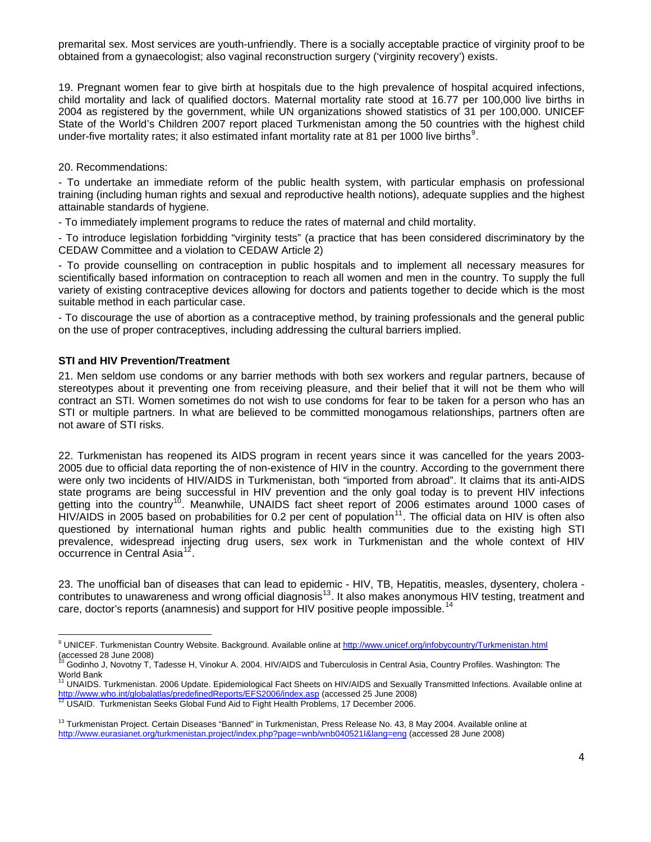premarital sex. Most services are youth-unfriendly. There is a socially acceptable practice of virginity proof to be obtained from a gynaecologist; also vaginal reconstruction surgery ('virginity recovery') exists.

19. Pregnant women fear to give birth at hospitals due to the high prevalence of hospital acquired infections, child mortality and lack of qualified doctors. Maternal mortality rate stood at 16.77 per 100,000 live births in 2004 as registered by the government, while UN organizations showed statistics of 31 per 100,000. UNICEF State of the World's Children 2007 report placed Turkmenistan among the 50 countries with the highest child under-five mortality rates; it also estimated infant mortality rate at 81 per 1000 live births<sup>[9](#page-3-0)</sup>.

20. Recommendations:

- To undertake an immediate reform of the public health system, with particular emphasis on professional training (including human rights and sexual and reproductive health notions), adequate supplies and the highest attainable standards of hygiene.

- To immediately implement programs to reduce the rates of maternal and child mortality.

- To introduce legislation forbidding "virginity tests" (a practice that has been considered discriminatory by the CEDAW Committee and a violation to CEDAW Article 2)

- To provide counselling on contraception in public hospitals and to implement all necessary measures for scientifically based information on contraception to reach all women and men in the country. To supply the full variety of existing contraceptive devices allowing for doctors and patients together to decide which is the most suitable method in each particular case.

- To discourage the use of abortion as a contraceptive method, by training professionals and the general public on the use of proper contraceptives, including addressing the cultural barriers implied.

## **STI and HIV Prevention/Treatment**

21. Men seldom use condoms or any barrier methods with both sex workers and regular partners, because of stereotypes about it preventing one from receiving pleasure, and their belief that it will not be them who will contract an STI. Women sometimes do not wish to use condoms for fear to be taken for a person who has an STI or multiple partners. In what are believed to be committed monogamous relationships, partners often are not aware of STI risks.

22. Turkmenistan has reopened its AIDS program in recent years since it was cancelled for the years 2003- 2005 due to official data reporting the of non-existence of HIV in the country. According to the government there were only two incidents of HIV/AIDS in Turkmenistan, both "imported from abroad". It claims that its anti-AIDS state programs are being successful in HIV prevention and the only goal today is to prevent HIV infections getting into the country<sup>[10](#page-3-1)</sup>. Meanwhile, UNAIDS fact sheet report of 2006 estimates around 1000 cases of HIV/AIDS in 2005 based on probabilities for 0.2 per cent of population<sup>[11](#page-3-2)</sup>. The official data on HIV is often also questioned by international human rights and public health communities due to the existing high STI prevalence, widespread injecting drug users, sex work in Turkmenistan and the whole context of HIV occurrence in Central Asia<sup>[12](#page-3-3)</sup>

23. The unofficial ban of diseases that can lead to epidemic - HIV, TB, Hepatitis, measles, dysentery, cholera - contributes to unawareness and wrong official diagnosis<sup>[13](#page-3-4)</sup>. It also makes anonymous HIV testing, treatment and care, doctor's reports (anamnesis) and support for HIV positive people impossible.<sup>[14](#page-3-5)</sup>

<span id="page-3-0"></span> 9 UNICEF. Turkmenistan Country Website. Background. Available online at <http://www.unicef.org/infobycountry/Turkmenistan.html> accessed 28 June 2008)

<span id="page-3-5"></span><span id="page-3-1"></span><sup>10</sup> Godinho J, Novotny T, Tadesse H, Vinokur A. 2004. HIV/AIDS and Tuberculosis in Central Asia, Country Profiles. Washington: The World Bank

<span id="page-3-2"></span><sup>11</sup> UNAIDS. Turkmenistan. 2006 Update. Epidemiological Fact Sheets on HIV/AIDS and Sexually Transmitted Infections. Available online at<br>http://www.who.int/globalatlas/predefinedReports/EFS2006<u>/index.asp</u> (accessed 25 June

<span id="page-3-3"></span>ment material contracts of the material contracts.<br><sup>[12](http://www.who.int/globalatlas/predefinedReports/EFS2006/index.asp)</sup> USAID. Turkmenistan Seeks Global Fund Aid to Fight Health Problems, 17 December 2006.

<span id="page-3-4"></span><sup>&</sup>lt;sup>13</sup> Turkmenistan Project. Certain Diseases "Banned" in Turkmenistan, Press Release No. 43, 8 May 2004. Available online at <http://www.eurasianet.org/turkmenistan.project/index.php?page=wnb/wnb040521I&lang=eng>(accessed 28 June 2008)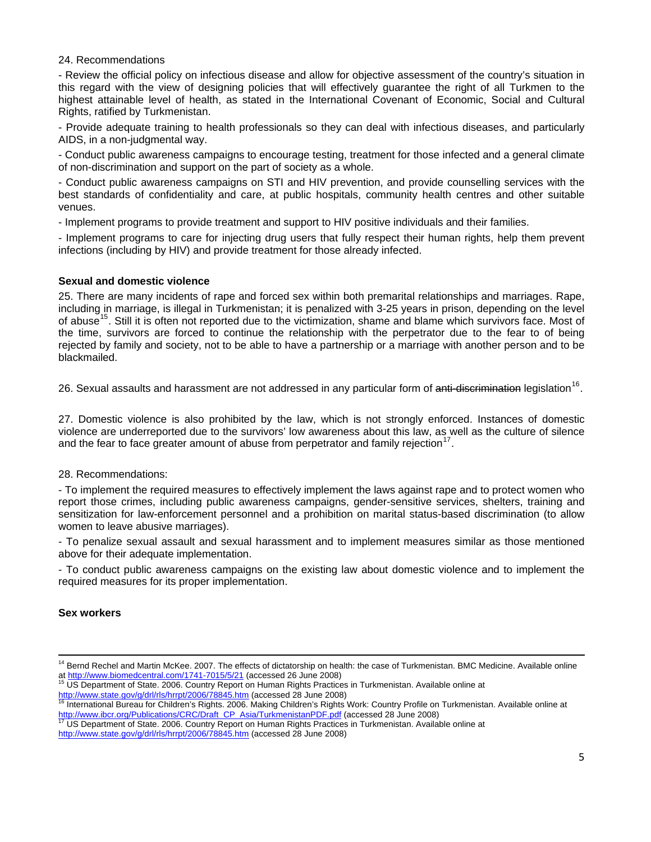#### 24. Recommendations

- Review the official policy on infectious disease and allow for objective assessment of the country's situation in this regard with the view of designing policies that will effectively guarantee the right of all Turkmen to the highest attainable level of health, as stated in the International Covenant of Economic, Social and Cultural Rights, ratified by Turkmenistan.

- Provide adequate training to health professionals so they can deal with infectious diseases, and particularly AIDS, in a non-judgmental way.

- Conduct public awareness campaigns to encourage testing, treatment for those infected and a general climate of non-discrimination and support on the part of society as a whole.

- Conduct public awareness campaigns on STI and HIV prevention, and provide counselling services with the best standards of confidentiality and care, at public hospitals, community health centres and other suitable venues.

- Implement programs to provide treatment and support to HIV positive individuals and their families.

- Implement programs to care for injecting drug users that fully respect their human rights, help them prevent infections (including by HIV) and provide treatment for those already infected.

## **Sexual and domestic violence**

25. There are many incidents of rape and forced sex within both premarital relationships and marriages. Rape, including in marriage, is illegal in Turkmenistan; it is penalized with 3-25 years in prison, depending on the level of abuse<sup>[15](#page-4-0)</sup>. Still it is often not reported due to the victimization, shame and blame which survivors face. Most of the time, survivors are forced to continue the relationship with the perpetrator due to the fear to of being rejected by family and society, not to be able to have a partnership or a marriage with another person and to be blackmailed.

26. Sexual assaults and harassment are not addressed in any particular form of anti-discrimination legislation<sup>[16](#page-4-1)</sup>.

27. Domestic violence is also prohibited by the law, which is not strongly enforced. Instances of domestic violence are underreported due to the survivors' low awareness about this law, as well as the culture of silence and the fear to face greater amount of abuse from perpetrator and family rejection $17$ .

#### 28. Recommendations:

- To implement the required measures to effectively implement the laws against rape and to protect women who report those crimes, including public awareness campaigns, gender-sensitive services, shelters, training and sensitization for law-enforcement personnel and a prohibition on marital status-based discrimination (to allow women to leave abusive marriages).

- To penalize sexual assault and sexual harassment and to implement measures similar as those mentioned above for their adequate implementation.

- To conduct public awareness campaigns on the existing law about domestic violence and to implement the required measures for its proper implementation.

## **Sex workers**

<sup>&</sup>lt;u> 1989 - Andrea Santa Andrea Andrea Andrea Andrea Andrea Andrea Andrea Andrea Andrea Andrea Andrea Andrea Andr</u> <sup>14</sup> Bernd Rechel and Martin McKee. 2007. The effects of dictatorship on health: the case of Turkmenistan. BMC Medicine. Available online at <http://www.biomedcentral.com/1741-7015/5/21></u> (accessed 26 June 2008)<br><sup>15</sup> [US Department of State. 2006. Country Report](http://www.biomedcentral.com/1741-7015/5/21) on Human Rights Practices in Turkmenistan. Available online at

<span id="page-4-1"></span><span id="page-4-0"></span><http://www.state.gov/g/drl/rls/hrrpt/2006/78845.htm> (accessed 28 June 2008)<br><sup>[16](http://www.state.gov/g/drl/rls/hrrpt/2006/78845.htm)</sup> International Bureau for Children's Rights. 2006. Making Children's Rights Work: Country Profile on Turkmenistan. Available online at [http://www.ibcr.org/Publications/CRC/Draft\\_CP\\_Asia/TurkmenistanPDF.pdf](http://www.ibcr.org/Publications/CRC/Draft_CP_Asia/TurkmenistanPDF.pdf) (accessed 28 June 2008)<br><sup>[17](http://www.ibcr.org/Publications/CRC/Draft_CP_Asia/TurkmenistanPDF.pdf)</sup> US Department of State. 2006. Country Report on Human Rights Practices in Turkmenistan. Available online at

<span id="page-4-2"></span>

<http://www.state.gov/g/drl/rls/hrrpt/2006/78845.htm> (accessed 28 June 2008)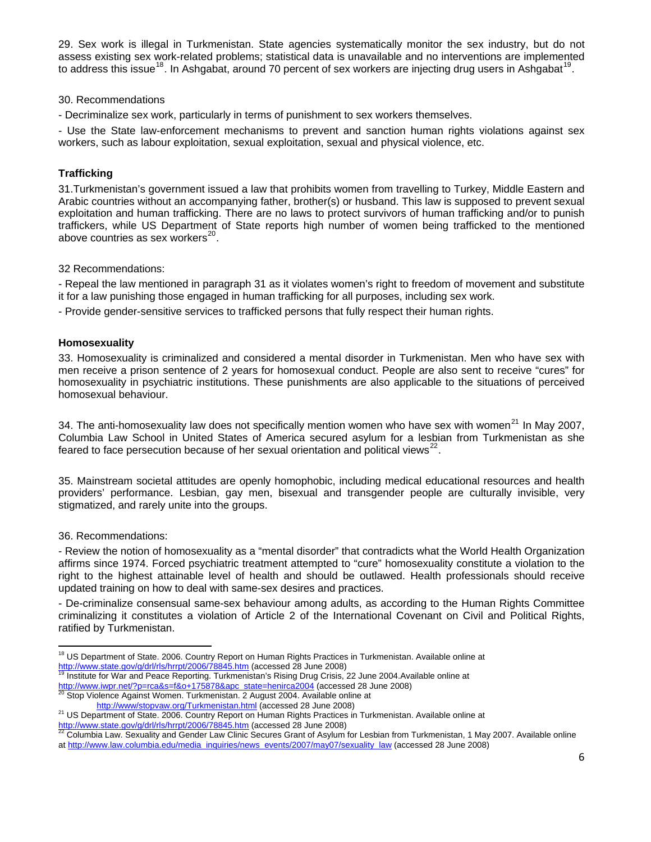29. Sex work is illegal in Turkmenistan. State agencies systematically monitor the sex industry, but do not assess existing sex work-related problems; statistical data is unavailable and no interventions are implemented to address this issue<sup>[18](#page-5-0)</sup>. In Ashgabat, around 70 percent of sex workers are injecting drug users in Ashgabat<sup>[19](#page-5-1)</sup>.

## 30. Recommendations

- Decriminalize sex work, particularly in terms of punishment to sex workers themselves.

- Use the State law-enforcement mechanisms to prevent and sanction human rights violations against sex workers, such as labour exploitation, sexual exploitation, sexual and physical violence, etc.

# **Trafficking**

31.Turkmenistan's government issued a law that prohibits women from travelling to Turkey, Middle Eastern and Arabic countries without an accompanying father, brother(s) or husband. This law is supposed to prevent sexual exploitation and human trafficking. There are no laws to protect survivors of human trafficking and/or to punish traffickers, while US Department of State reports high number of women being trafficked to the mentioned above countries as sex workers $^{20}$  $^{20}$  $^{20}$ .

32 Recommendations:

- Repeal the law mentioned in paragraph 31 as it violates women's right to freedom of movement and substitute it for a law punishing those engaged in human trafficking for all purposes, including sex work.

- Provide gender-sensitive services to trafficked persons that fully respect their human rights.

## **Homosexuality**

33. Homosexuality is criminalized and considered a mental disorder in Turkmenistan. Men who have sex with men receive a prison sentence of 2 years for homosexual conduct. People are also sent to receive "cures" for homosexuality in psychiatric institutions. These punishments are also applicable to the situations of perceived homosexual behaviour.

34. The anti-homosexuality law does not specifically mention women who have sex with women<sup>[21](#page-5-3)</sup> In May 2007, Columbia Law School in United States of America secured asylum for a lesbian from Turkmenistan as she feared to face persecution because of her sexual orientation and political views $^{22}$  $^{22}$  $^{22}$ .

35. Mainstream societal attitudes are openly homophobic, including medical educational resources and health providers' performance. Lesbian, gay men, bisexual and transgender people are culturally invisible, very stigmatized, and rarely unite into the groups.

36. Recommendations:

- Review the notion of homosexuality as a "mental disorder" that contradicts what the World Health Organization affirms since 1974. Forced psychiatric treatment attempted to "cure" homosexuality constitute a violation to the right to the highest attainable level of health and should be outlawed. Health professionals should receive updated training on how to deal with same-sex desires and practices.

- De-criminalize consensual same-sex behaviour among adults, as according to the Human Rights Committee criminalizing it constitutes a violation of Article 2 of the International Covenant on Civil and Political Rights, ratified by Turkmenistan.

<span id="page-5-1"></span>[http://www.iwpr.net/?p=rca&s=f&o+175878&apc\\_state=henirca2004](http://www.iwpr.net/?p=rca&s=f&o+175878&apc_state=henirca2004) (accessed 28 June 2008) 20<br>http://www.iwpr.net/?p=rca&s=f&o+175878&apc\_state=henirca2004 (accessed 28 June 2008) 20<br>Stop Violence Against Women. Turkmenistan. 2

<span id="page-5-0"></span> <sup>18</sup> US Department of State. 2006. Country Report on Human Rights Practices in Turkmenistan. Available online at <http://www.state.gov/g/drl/rls/hrrpt/2006/78845.htm> (accessed 28 June 2008)<br><sup>[19](http://www.state.gov/g/drl/rls/hrrpt/2006/78845.htm)</sup> Institute for War and Peace Reporting. Turkmenistan's Rising Drug Crisis, 22 June 2004.Available online at

<span id="page-5-2"></span><http://www/stopvaw.org/Turkmenistan.html>(accessed 28 June 2008)<br><sup>21</sup> US Department of State. 2006. Country Report on Human Rights Practices in Turkmenistan. Available online at

<span id="page-5-4"></span><span id="page-5-3"></span><http://www.state.gov/g/drl/rls/hrrpt/2006/78845.htm> (accessed 28 June 2008)<br>
<sup>[22](http://www.state.gov/g/drl/rls/hrrpt/2006/78845.htm)</sup> Columbia Law. Sexuality and Gender Law Clinic Secures Grant of Asylum for Lesbian from Turkmenistan, 1 May 2007. Available online at [http://www.law.columbia.edu/media\\_inquiries/news\\_events/2007/may07/sexuality\\_law](http://www.law.columbia.edu/media_inquiries/news_events/2007/may07/sexuality_law) (accessed 28 June 2008)